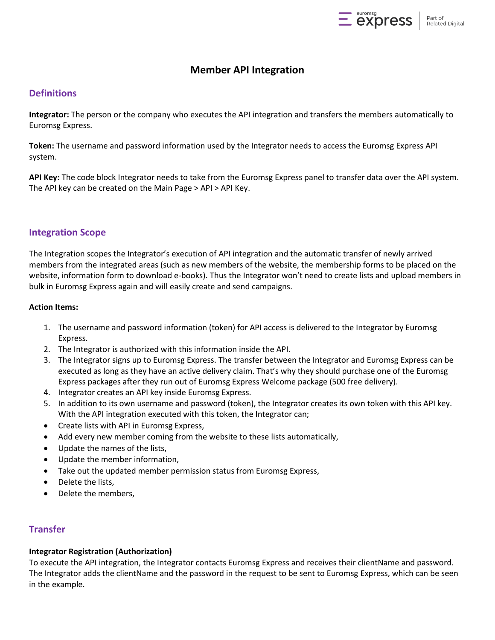

# **Member API Integration**

## **Definitions**

**Integrator:** The person or the company who executes the API integration and transfers the members automatically to Euromsg Express.

**Token:** The username and password information used by the Integrator needs to access the Euromsg Express API system.

**API Key:** The code block Integrator needs to take from the Euromsg Express panel to transfer data over the API system. The API key can be created on the Main Page > API > API Key.

#### **Integration Scope**

The Integration scopes the Integrator's execution of API integration and the automatic transfer of newly arrived members from the integrated areas (such as new members of the website, the membership forms to be placed on the website, information form to download e-books). Thus the Integrator won't need to create lists and upload members in bulk in Euromsg Express again and will easily create and send campaigns.

#### **Action Items:**

- 1. The username and password information (token) for API access is delivered to the Integrator by Euromsg Express.
- 2. The Integrator is authorized with this information inside the API.
- 3. The Integrator signs up to Euromsg Express. The transfer between the Integrator and Euromsg Express can be executed as long as they have an active delivery claim. That's why they should purchase one of the Euromsg Express packages after they run out of Euromsg Express Welcome package (500 free delivery).
- 4. Integrator creates an API key inside Euromsg Express.
- 5. In addition to its own username and password (token), the Integrator creates its own token with this API key. With the API integration executed with this token, the Integrator can;
- Create lists with API in Euromsg Express,
- Add every new member coming from the website to these lists automatically,
- Update the names of the lists,
- Update the member information,
- Take out the updated member permission status from Euromsg Express,
- Delete the lists,
- Delete the members,

## **Transfer**

## **Integrator Registration (Authorization)**

To execute the API integration, the Integrator contacts Euromsg Express and receives their clientName and password. The Integrator adds the clientName and the password in the request to be sent to Euromsg Express, which can be seen in the example.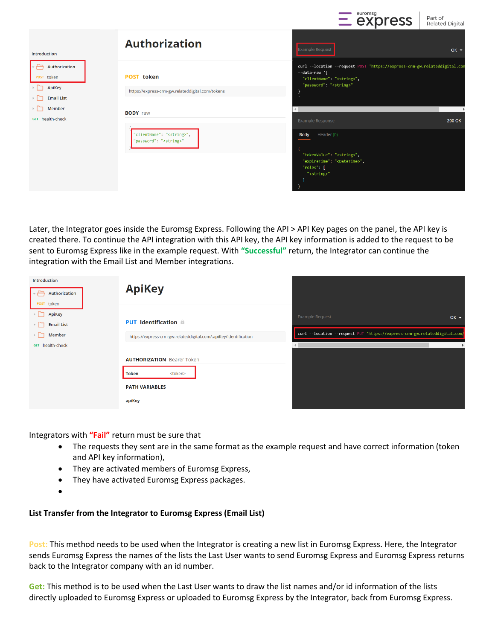|                                                                                          |                                                                                            | $=$ express                                                                                                                                                                   | Part of<br><b>Related Digital</b> |
|------------------------------------------------------------------------------------------|--------------------------------------------------------------------------------------------|-------------------------------------------------------------------------------------------------------------------------------------------------------------------------------|-----------------------------------|
| Introduction                                                                             | <b>Authorization</b>                                                                       | Example Request                                                                                                                                                               | $OK -$                            |
| Authorization<br>POST token<br>ApiKey<br><b>Email List</b><br>Member<br>GET health-check | <b>POST</b> token<br>https://express-crm-gw.relateddigital.com/tokens                      | curl --location --request POST 'https://express-crm-gw.relateddigital.com<br>--data-raw '{<br>"clientName": " <string>",<br/>"password": "<string>"<br/>٠</string></string>   |                                   |
|                                                                                          | <b>BODY</b> raw<br>"clientName": " <string>",<br/>"password": "<string>"</string></string> | <b>Example Response</b><br>Header (0)<br><b>Body</b><br>"tokenValue": " <string>",<br/>"expireTime": "<datetime>",<br/>"roles": [<br/>"<string>"</string></datetime></string> | <b>200 OK</b>                     |

euromsg

 $\mathbf{L}$ 

Later, the Integrator goes inside the Euromsg Express. Following the API > API Key pages on the panel, the API key is created there. To continue the API integration with this API key, the API key information is added to the request to be sent to Euromsg Express like in the example request. With **"Successful"** return, the Integrator can continue the integration with the Email List and Member integrations.

| Introduction<br>Authorization<br>POST token | <b>ApiKey</b>                                                    |                                                                           |        |
|---------------------------------------------|------------------------------------------------------------------|---------------------------------------------------------------------------|--------|
| ApiKey<br><b>Email List</b>                 | <b>PUT</b> identification $\hat{\mathbf{n}}$                     | <b>Example Request</b>                                                    | $OK -$ |
| Member                                      | https://express-crm-gw.relateddigital.com/:apiKey/identification | curl --location --request PUT 'https://express-crm-gw.relateddigital.com, |        |
| GET health-check                            |                                                                  |                                                                           |        |
|                                             | <b>AUTHORIZATION Bearer Token</b>                                |                                                                           |        |
|                                             | <b>Token</b><br><token><br/><b>PATH VARIABLES</b></token>        |                                                                           |        |
|                                             | apiKey                                                           |                                                                           |        |

Integrators with **"Fail"** return must be sure that

- The requests they sent are in the same format as the example request and have correct information (token and API key information),
- They are activated members of Euromsg Express,
- They have activated Euromsg Express packages.
- $\bullet$

#### **List Transfer from the Integrator to Euromsg Express (Email List)**

**Post:** This method needs to be used when the Integrator is creating a new list in Euromsg Express. Here, the Integrator sends Euromsg Express the names of the lists the Last User wants to send Euromsg Express and Euromsg Express returns back to the Integrator company with an id number.

**Get:** This method is to be used when the Last User wants to draw the list names and/or id information of the lists directly uploaded to Euromsg Express or uploaded to Euromsg Express by the Integrator, back from Euromsg Express.